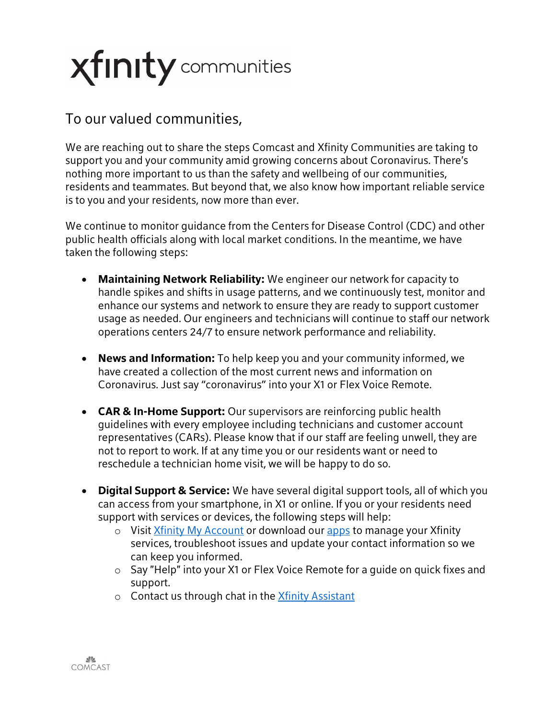## **Xfinity** communities

## To our valued communities,

We are reaching out to share the steps Comcast and Xfinity Communities are taking to support you and your community amid growing concerns about Coronavirus. There's nothing more important to us than the safety and wellbeing of our communities, residents and teammates. But beyond that, we also know how important reliable service is to you and your residents, now more than ever.

We continue to monitor guidance from the Centers for Disease Control (CDC) and other public health officials along with local market conditions. In the meantime, we have taken the following steps:

- **Maintaining Network Reliability:** We engineer our network for capacity to handle spikes and shifts in usage patterns, and we continuously test, monitor and enhance our systems and network to ensure they are ready to support customer usage as needed. Our engineers and technicians will continue to staff our network operations centers 24/7 to ensure network performance and reliability.
- **News and Information:** To help keep you and your community informed, we have created a collection of the most current news and information on Coronavirus. Just say "coronavirus" into your X1 or Flex Voice Remote.
- **CAR & In-Home Support:** Our supervisors are reinforcing public health guidelines with every employee including technicians and customer account representatives (CARs). Please know that if our staff are feeling unwell, they are not to report to work. If at any time you or our residents want or need to reschedule a technician home visit, we will be happy to do so.
- **Digital Support & Service:** We have several digital support tools, all of which you can access from your smartphone, in X1 or online. If you or your residents need support with services or devices, the following steps will help:
	- o Visit Xfinity My [Account](https://protect-eu.mimecast.com/s/DQbUCN98ms0L1q6TrOY5e?domain=emails.xfinity.com) or download our [apps](https://protect-eu.mimecast.com/s/fzm9COyZnipYoLOi5f-IN?domain=emails.xfinity.com) to manage your Xfinity services, troubleshoot issues and update your contact information so we can keep you informed.
	- o Say "Help" into your X1 or Flex Voice Remote for a guide on quick fixes and support.
	- o Contact us through chat in the Xfinity [Assistant](https://protect-eu.mimecast.com/s/SOdWCPZYoTKgq16UBZbAd?domain=emails.xfinity.com)